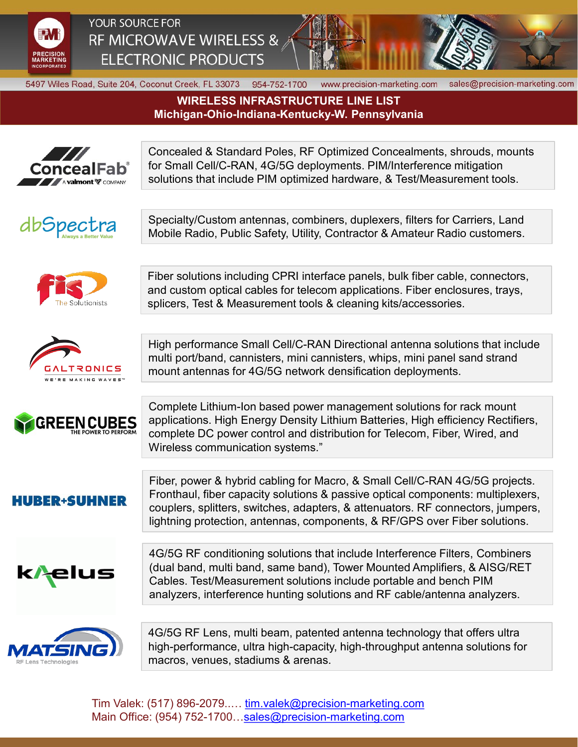

YOUR SOURCE FOR RF MICROWAVE WIRELESS & **ELECTRONIC PRODUCTS** 



5497 Wiles Road, Suite 204, Coconut Creek, FL 33073 954-752-1700

www.precision-marketing.com sales@precision-marketing.com

**WIRELESS INFRASTRUCTURE LINE LIST Michigan-Ohio-Indiana-Kentucky-W. Pennsylvania**



Tim Valek: (517) 896-2079..... [tim.valek@precision-marketing.com](mailto:tim.valek@precision-marketing.com) Main Office: (954) 752-1700...sales@precision-marketing.com